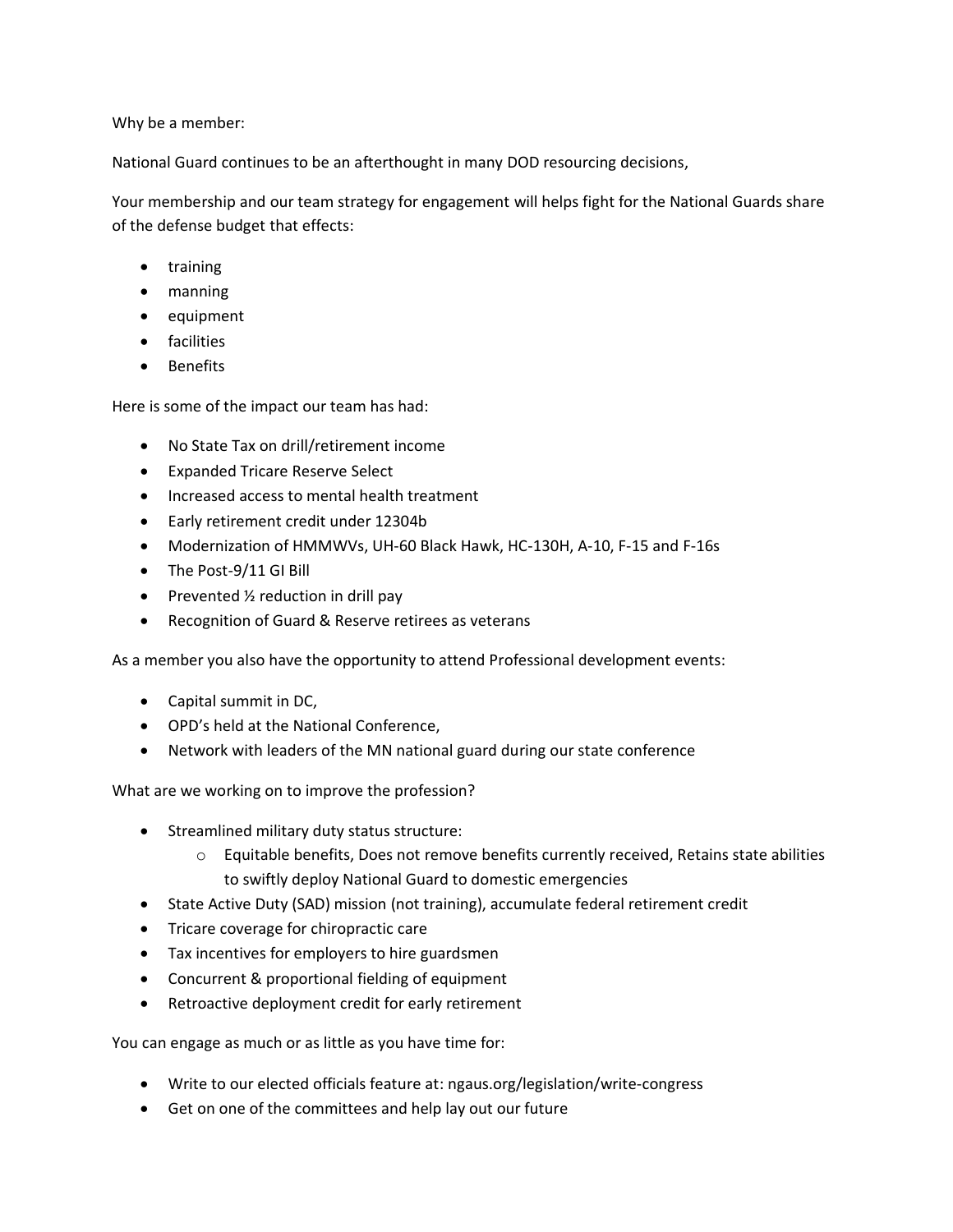Why be a member:

National Guard continues to be an afterthought in many DOD resourcing decisions,

Your membership and our team strategy for engagement will helps fight for the National Guards share of the defense budget that effects:

- training
- manning
- equipment
- facilities
- Benefits

Here is some of the impact our team has had:

- No State Tax on drill/retirement income
- Expanded Tricare Reserve Select
- Increased access to mental health treatment
- Early retirement credit under 12304b
- Modernization of HMMWVs, UH-60 Black Hawk, HC-130H, A-10, F-15 and F-16s
- The Post-9/11 GI Bill
- Prevented  $\frac{1}{2}$  reduction in drill pay
- Recognition of Guard & Reserve retirees as veterans

As a member you also have the opportunity to attend Professional development events:

- Capital summit in DC,
- OPD's held at the National Conference,
- Network with leaders of the MN national guard during our state conference

What are we working on to improve the profession?

- Streamlined military duty status structure:
	- o Equitable benefits, Does not remove benefits currently received, Retains state abilities to swiftly deploy National Guard to domestic emergencies
- State Active Duty (SAD) mission (not training), accumulate federal retirement credit
- Tricare coverage for chiropractic care
- Tax incentives for employers to hire guardsmen
- Concurrent & proportional fielding of equipment
- Retroactive deployment credit for early retirement

You can engage as much or as little as you have time for:

- Write to our elected officials feature at: ngaus.org/legislation/write-congress
- Get on one of the committees and help lay out our future